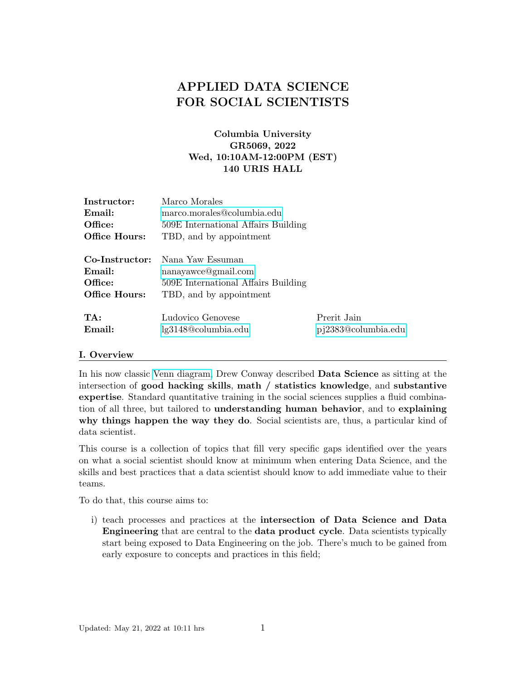# APPLIED DATA SCIENCE FOR SOCIAL SCIENTISTS

# Columbia University GR5069, 2022 Wed, 10:10AM-12:00PM (EST) 140 URIS HALL

| Instructor:<br>Email:<br>Office:<br>Office Hours:    | Marco Morales<br>marco.morales@columbia.edu<br>509E International Affairs Building<br>TBD, and by appointment |                                    |
|------------------------------------------------------|---------------------------------------------------------------------------------------------------------------|------------------------------------|
| Co-Instructor:<br>Email:<br>Office:<br>Office Hours: | Nana Yaw Essuman<br>nanayawce@gmail.com<br>509E International Affairs Building<br>TBD, and by appointment     |                                    |
| TA:<br>Email:                                        | Ludovico Genovese<br>lg3148@columbia.edu                                                                      | Prerit Jain<br>pj2383@columbia.edu |

## I. Overview

In his now classic [Venn diagram,](http://drewconway.com/zia/2013/3/26/the-data-science-venn-diagram) Drew Conway described **Data Science** as sitting at the intersection of good hacking skills, math / statistics knowledge, and substantive expertise. Standard quantitative training in the social sciences supplies a fluid combination of all three, but tailored to understanding human behavior, and to explaining why things happen the way they do. Social scientists are, thus, a particular kind of data scientist.

This course is a collection of topics that fill very specific gaps identified over the years on what a social scientist should know at minimum when entering Data Science, and the skills and best practices that a data scientist should know to add immediate value to their teams.

To do that, this course aims to:

i) teach processes and practices at the intersection of Data Science and Data Engineering that are central to the data product cycle. Data scientists typically start being exposed to Data Engineering on the job. There's much to be gained from early exposure to concepts and practices in this field;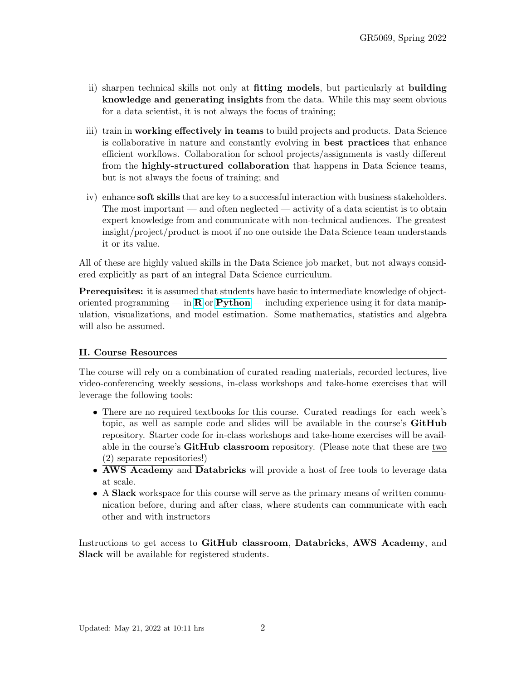- ii) sharpen technical skills not only at fitting models, but particularly at building knowledge and generating insights from the data. While this may seem obvious for a data scientist, it is not always the focus of training;
- iii) train in **working effectively in teams** to build projects and products. Data Science is collaborative in nature and constantly evolving in best practices that enhance efficient workflows. Collaboration for school projects/assignments is vastly different from the highly-structured collaboration that happens in Data Science teams, but is not always the focus of training; and
- iv) enhance soft skills that are key to a successful interaction with business stakeholders. The most important — and often neglected — activity of a data scientist is to obtain expert knowledge from and communicate with non-technical audiences. The greatest insight/project/product is moot if no one outside the Data Science team understands it or its value.

All of these are highly valued skills in the Data Science job market, but not always considered explicitly as part of an integral Data Science curriculum.

**Prerequisites:** it is assumed that students have basic to intermediate knowledge of objectoriented programming — in **[R](https://www.r-project.org/)** or **[Python](https://www.python.org)** — including experience using it for data manipulation, visualizations, and model estimation. Some mathematics, statistics and algebra will also be assumed.

# II. Course Resources

The course will rely on a combination of curated reading materials, recorded lectures, live video-conferencing weekly sessions, in-class workshops and take-home exercises that will leverage the following tools:

- There are no required textbooks for this course. Curated readings for each week's topic, as well as sample code and slides will be available in the course's GitHub repository. Starter code for in-class workshops and take-home exercises will be available in the course's GitHub classroom repository. (Please note that these are  $\frac{two}{100}$ (2) separate repositories!)
- AWS Academy and Databricks will provide a host of free tools to leverage data at scale.
- A Slack workspace for this course will serve as the primary means of written communication before, during and after class, where students can communicate with each other and with instructors

Instructions to get access to GitHub classroom, Databricks, AWS Academy, and Slack will be available for registered students.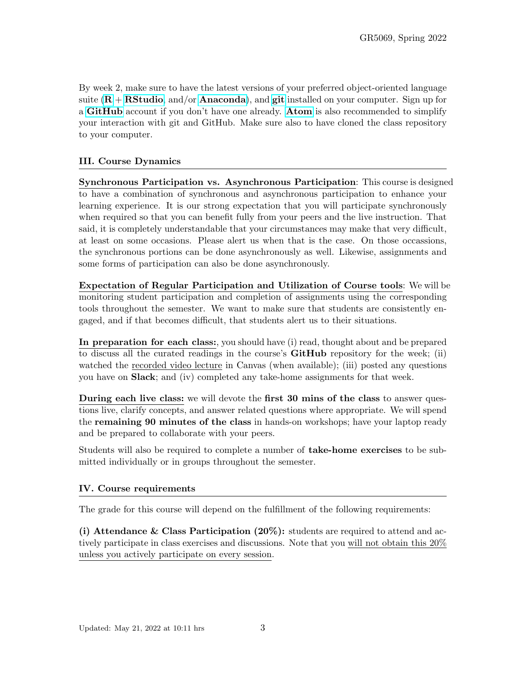By week 2, make sure to have the latest versions of your preferred object-oriented language suite  $(R + RStudio, and/or Anaconda)$  $(R + RStudio, and/or Anaconda)$  $(R + RStudio, and/or Anaconda)$  $(R + RStudio, and/or Anaconda)$  $(R + RStudio, and/or Anaconda)$  $(R + RStudio, and/or Anaconda)$  $(R + RStudio, and/or Anaconda)$ , and [git](https://git-scm.com/) installed on your computer. Sign up for a [GitHub](https://github.com) account if you don't have one already. [Atom](https://atom.io/) is also recommended to simplify your interaction with git and GitHub. Make sure also to have cloned the class repository to your computer.

# III. Course Dynamics

Synchronous Participation vs. Asynchronous Participation: This course is designed to have a combination of synchronous and asynchronous participation to enhance your learning experience. It is our strong expectation that you will participate synchronously when required so that you can benefit fully from your peers and the live instruction. That said, it is completely understandable that your circumstances may make that very difficult, at least on some occasions. Please alert us when that is the case. On those occassions, the synchronous portions can be done asynchronously as well. Likewise, assignments and some forms of participation can also be done asynchronously.

Expectation of Regular Participation and Utilization of Course tools: We will be monitoring student participation and completion of assignments using the corresponding tools throughout the semester. We want to make sure that students are consistently engaged, and if that becomes difficult, that students alert us to their situations.

In preparation for each class:, you should have (i) read, thought about and be prepared to discuss all the curated readings in the course's GitHub repository for the week; (ii) watched the recorded video lecture in Canvas (when available); (iii) posted any questions you have on Slack; and (iv) completed any take-home assignments for that week.

During each live class: we will devote the first 30 mins of the class to answer questions live, clarify concepts, and answer related questions where appropriate. We will spend the remaining 90 minutes of the class in hands-on workshops; have your laptop ready and be prepared to collaborate with your peers.

Students will also be required to complete a number of take-home exercises to be submitted individually or in groups throughout the semester.

## IV. Course requirements

The grade for this course will depend on the fulfillment of the following requirements:

(i) Attendance & Class Participation  $(20\%)$ : students are required to attend and actively participate in class exercises and discussions. Note that you will not obtain this 20% unless you actively participate on every session.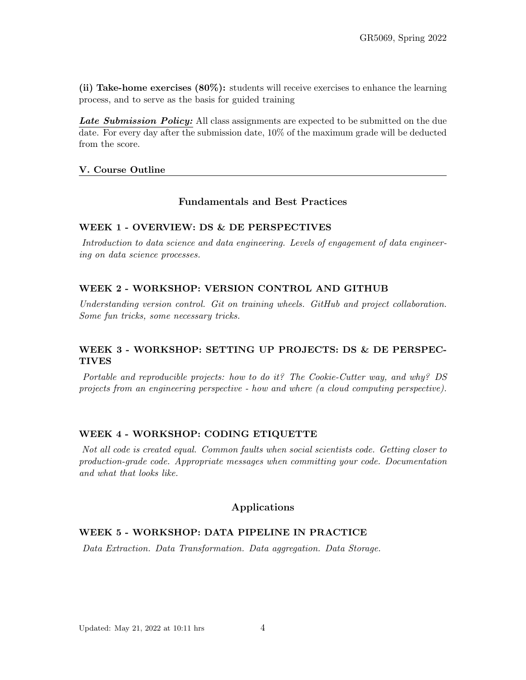(ii) Take-home exercises (80%): students will receive exercises to enhance the learning process, and to serve as the basis for guided training

Late Submission Policy: All class assignments are expected to be submitted on the due date. For every day after the submission date, 10% of the maximum grade will be deducted from the score.

#### V. Course Outline

## Fundamentals and Best Practices

#### WEEK 1 - OVERVIEW: DS & DE PERSPECTIVES

Introduction to data science and data engineering. Levels of engagement of data engineering on data science processes.

#### WEEK 2 - WORKSHOP: VERSION CONTROL AND GITHUB

Understanding version control. Git on training wheels. GitHub and project collaboration. Some fun tricks, some necessary tricks.

## WEEK 3 - WORKSHOP: SETTING UP PROJECTS: DS & DE PERSPEC-TIVES

Portable and reproducible projects: how to do it? The Cookie-Cutter way, and why? DS projects from an engineering perspective - how and where (a cloud computing perspective).

#### WEEK 4 - WORKSHOP: CODING ETIQUETTE

Not all code is created equal. Common faults when social scientists code. Getting closer to production-grade code. Appropriate messages when committing your code. Documentation and what that looks like.

## Applications

#### WEEK 5 - WORKSHOP: DATA PIPELINE IN PRACTICE

Data Extraction. Data Transformation. Data aggregation. Data Storage.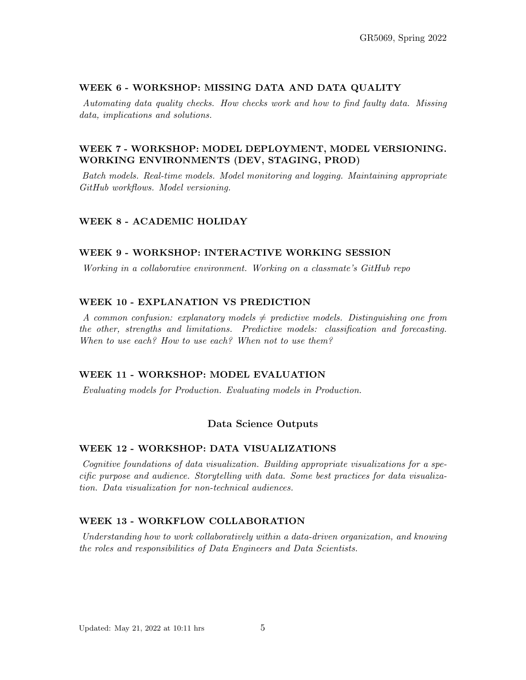## WEEK 6 - WORKSHOP: MISSING DATA AND DATA QUALITY

Automating data quality checks. How checks work and how to find faulty data. Missing data, implications and solutions.

# WEEK 7 - WORKSHOP: MODEL DEPLOYMENT, MODEL VERSIONING. WORKING ENVIRONMENTS (DEV, STAGING, PROD)

Batch models. Real-time models. Model monitoring and logging. Maintaining appropriate GitHub workflows. Model versioning.

## WEEK 8 - ACADEMIC HOLIDAY

#### WEEK 9 - WORKSHOP: INTERACTIVE WORKING SESSION

Working in a collaborative environment. Working on a classmate's GitHub repo

#### WEEK 10 - EXPLANATION VS PREDICTION

A common confusion: explanatory models  $\neq$  predictive models. Distinguishing one from the other, strengths and limitations. Predictive models: classification and forecasting. When to use each? How to use each? When not to use them?

## WEEK 11 - WORKSHOP: MODEL EVALUATION

Evaluating models for Production. Evaluating models in Production.

## Data Science Outputs

#### WEEK 12 - WORKSHOP: DATA VISUALIZATIONS

Cognitive foundations of data visualization. Building appropriate visualizations for a specific purpose and audience. Storytelling with data. Some best practices for data visualization. Data visualization for non-technical audiences.

#### WEEK 13 - WORKFLOW COLLABORATION

Understanding how to work collaboratively within a data-driven organization, and knowing the roles and responsibilities of Data Engineers and Data Scientists.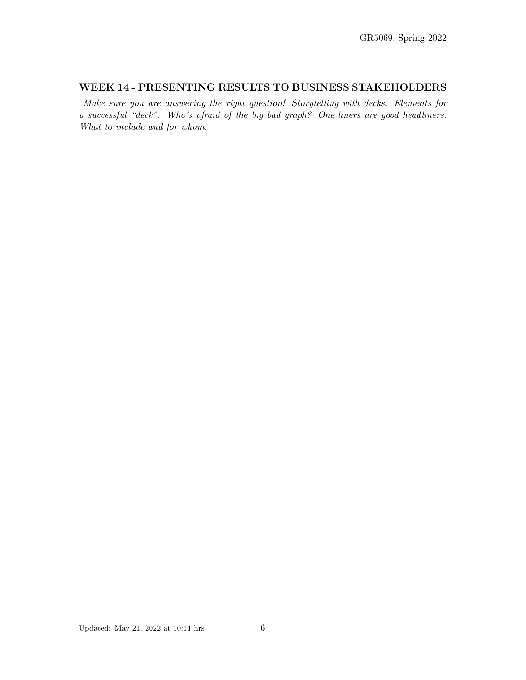## WEEK 14 - PRESENTING RESULTS TO BUSINESS STAKEHOLDERS

Make sure you are answering the right question! Storytelling with decks. Elements for a successful "deck". Who's afraid of the big bad graph? One-liners are good headliners. What to include and for whom.